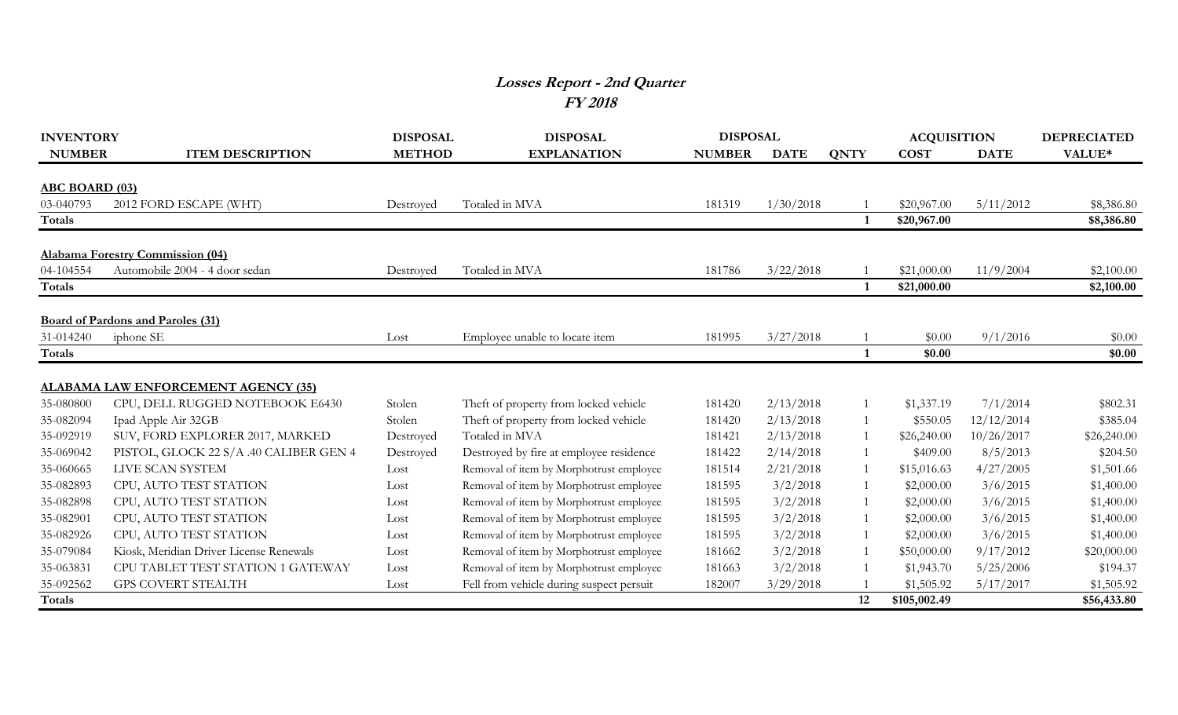## **Losses Report - 2nd Quarter FY 2018**

| <b>INVENTORY</b>      |                                            | <b>DISPOSAL</b> | <b>DISPOSAL</b>                          | <b>DISPOSAL</b> |             |             | <b>ACQUISITION</b> |             | <b>DEPRECIATED</b> |
|-----------------------|--------------------------------------------|-----------------|------------------------------------------|-----------------|-------------|-------------|--------------------|-------------|--------------------|
| <b>NUMBER</b>         | <b>ITEM DESCRIPTION</b>                    | <b>METHOD</b>   | <b>EXPLANATION</b>                       | <b>NUMBER</b>   | <b>DATE</b> | <b>QNTY</b> | <b>COST</b>        | <b>DATE</b> | VALUE*             |
| <b>ABC BOARD (03)</b> |                                            |                 |                                          |                 |             |             |                    |             |                    |
| 03-040793             | 2012 FORD ESCAPE (WHT)                     | Destroyed       | Totaled in MVA                           | 181319          | 1/30/2018   |             | \$20,967.00        | 5/11/2012   | \$8,386.80         |
| <b>Totals</b>         |                                            |                 |                                          |                 |             |             | \$20,967.00        |             | \$8,386.80         |
|                       | <b>Alabama Forestry Commission (04)</b>    |                 |                                          |                 |             |             |                    |             |                    |
| 04-104554             | Automobile 2004 - 4 door sedan             | Destroved       | Totaled in MVA                           | 181786          | 3/22/2018   |             | \$21,000.00        | 11/9/2004   | \$2,100.00         |
| <b>Totals</b>         |                                            |                 |                                          |                 |             |             | \$21,000.00        |             | \$2,100.00         |
|                       | <b>Board of Pardons and Paroles (31)</b>   |                 |                                          |                 |             |             |                    |             |                    |
| 31-014240             | iphone SE                                  | Lost            | Employee unable to locate item           | 181995          | 3/27/2018   |             | \$0.00             | 9/1/2016    | \$0.00             |
| <b>Totals</b>         |                                            |                 |                                          |                 |             |             | \$0.00             |             | \$0.00             |
|                       |                                            |                 |                                          |                 |             |             |                    |             |                    |
|                       | <b>ALABAMA LAW ENFORCEMENT AGENCY (35)</b> |                 |                                          |                 |             |             |                    |             |                    |
| 35-080800             | CPU, DELL RUGGED NOTEBOOK E6430            | Stolen          | Theft of property from locked vehicle    | 181420          | 2/13/2018   |             | \$1,337.19         | 7/1/2014    | \$802.31           |
| 35-082094             | Ipad Apple Air 32GB                        | Stolen          | Theft of property from locked vehicle    | 181420          | 2/13/2018   |             | \$550.05           | 12/12/2014  | \$385.04           |
| 35-092919             | SUV, FORD EXPLORER 2017, MARKED            | Destroyed       | Totaled in MVA                           | 181421          | 2/13/2018   |             | \$26,240.00        | 10/26/2017  | \$26,240.00        |
| 35-069042             | PISTOL, GLOCK 22 S/A .40 CALIBER GEN 4     | Destroyed       | Destroyed by fire at employee residence  | 181422          | 2/14/2018   |             | \$409.00           | 8/5/2013    | \$204.50           |
| 35-060665             | LIVE SCAN SYSTEM                           | Lost            | Removal of item by Morphotrust employee  | 181514          | 2/21/2018   |             | \$15,016.63        | 4/27/2005   | \$1,501.66         |
| 35-082893             | CPU, AUTO TEST STATION                     | Lost            | Removal of item by Morphotrust employee  | 181595          | 3/2/2018    |             | \$2,000.00         | 3/6/2015    | \$1,400.00         |
| 35-082898             | CPU, AUTO TEST STATION                     | Lost            | Removal of item by Morphotrust employee  | 181595          | 3/2/2018    |             | \$2,000.00         | 3/6/2015    | \$1,400.00         |
| 35-082901             | CPU, AUTO TEST STATION                     | Lost            | Removal of item by Morphotrust employee  | 181595          | 3/2/2018    |             | \$2,000.00         | 3/6/2015    | \$1,400.00         |
| 35-082926             | CPU, AUTO TEST STATION                     | Lost            | Removal of item by Morphotrust employee  | 181595          | 3/2/2018    |             | \$2,000.00         | 3/6/2015    | \$1,400.00         |
| 35-079084             | Kiosk, Meridian Driver License Renewals    | Lost            | Removal of item by Morphotrust employee  | 181662          | 3/2/2018    |             | \$50,000.00        | 9/17/2012   | \$20,000.00        |
| 35-063831             | CPU TABLET TEST STATION 1 GATEWAY          | Lost            | Removal of item by Morphotrust employee  | 181663          | 3/2/2018    |             | \$1,943.70         | 5/25/2006   | \$194.37           |
| 35-092562             | <b>GPS COVERT STEALTH</b>                  | Lost            | Fell from vehicle during suspect persuit | 182007          | 3/29/2018   |             | \$1,505.92         | 5/17/2017   | \$1,505.92         |
| <b>Totals</b>         |                                            |                 |                                          |                 |             | 12          | \$105,002.49       |             | \$56,433.80        |